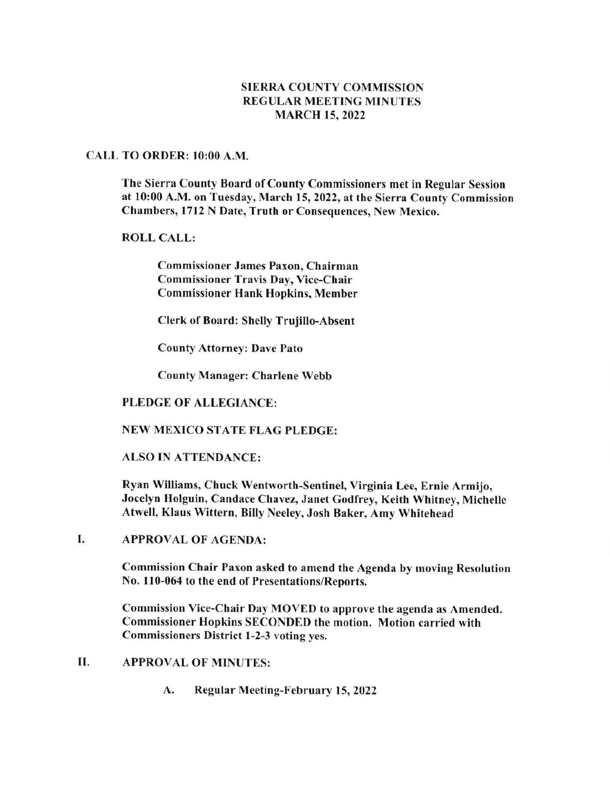## SIERRA COUNTY COMMISSION REGULAR MEETING MINUTES MARCH 15,2022

#### CALL TO ORDER: l0:00 A.M.

The Sierra County Board of County Commissioners met in Regular Session at l0:00 A.M. on Tuesday, March 15, 2022, at the Sierra County Commission Chambers, l712 N Date, Truth or Consequences, New Mexico.

### ROLL CALL:

Commissioner James Paxon, Chairman Commissioner Travis Day, Vice-Chair Commissioner Hank Hopkins, Member

Clerk of Board: Shelly Trujillo-Absent

County Attorney: Dave Pato

County Manager: Charlene Webb

### PLEDGE OF ALLEGIANCE:

NEW MEXICO STATE FLAG PLEDGE:

### ALSO IN ATTENDANCE:

Ryan Williams, Chuck Wentworth-Sentinel, Virginia Lee, Ernie Armijo, Jocelyn Holguin, Candace Chavez, Janet Godfrey, Keith Whitney, Michelle Atwell, Klaus Wittern, Billy Neeley, Josh Baker, Amy Whitehead

APPROVAL OF AGENDA: I

> Commission Chair Paxon asked to amend the Agenda by moving Resolution No. 110-064 to the end of Presentations/Reports.

Commission Vice-Chair Day MOVED to approve the agenda as Amended. Commissioner Hopkins SECONDED the motion. Motion carried with Commissioners District l-2-3 voting yes.

- II. APPROVAL OF MINUTES:
	- A. Regular Meeting-February 15, 2022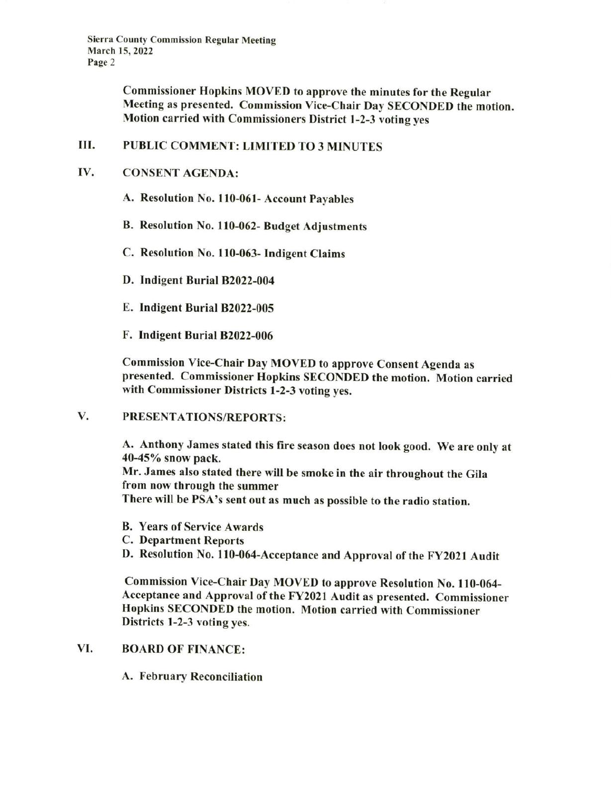Sierra County Commission Regular Meeting March 15. 2022 Page 2

> Commissioner Hopkins MOVED to approve the minutes for the Regular Meeting as presented. Commission Vice-Chair Day SECONDED the motion. Motion carried with Commissioners District l-2-3 voting yes

#### Iil. PUBLIC COMMENT: LIMITED TO 3 MINUTES

#### CONSENT AGENDA: IV

- A. Resolution No. ll0-061- Account Payables
- B. Resolution No. 110-062- Budget Adjustments
- C. Resolution No. I 10-063- Indigent Claims
- D. Indigent Burial 82022-004
- E. Indigent Burial 82022-005
- F. Indigent Burial 82022-006

Commission Vice-Chair Day MOVED to approve Consent Agenda as presented. Commissioner Hopkins SECONDED the motion. Motion carried with Commissioner Districts 1-2-3 voting yes.

PRESENTATIONS/REPORTS: V.

> A. Anthony James stated this fire season does not look good. We are only at 40-45Yo snow pack. Mr. James also stated there will be smoke in the air throughout the Gila from now through the summer

There will be PSA's sent out as much as possible to the radio station.

- B. Years of Service Awards
- C. Department Reports
- D. Resolution No. 110-064-Acceptance and Approval of the FY2021 Audit

Commission Vice-Chair Day MOVED to approve Resolution No. 110-064-Acceptance and Approval of the FY2021 Audit as presented. Commissioner Hopkins SECONDED the motion. Motion carried with Commissioner Districts l-2-3 voting yes.

# VI. BOARD OF FINANCE:

A. February Reconciliation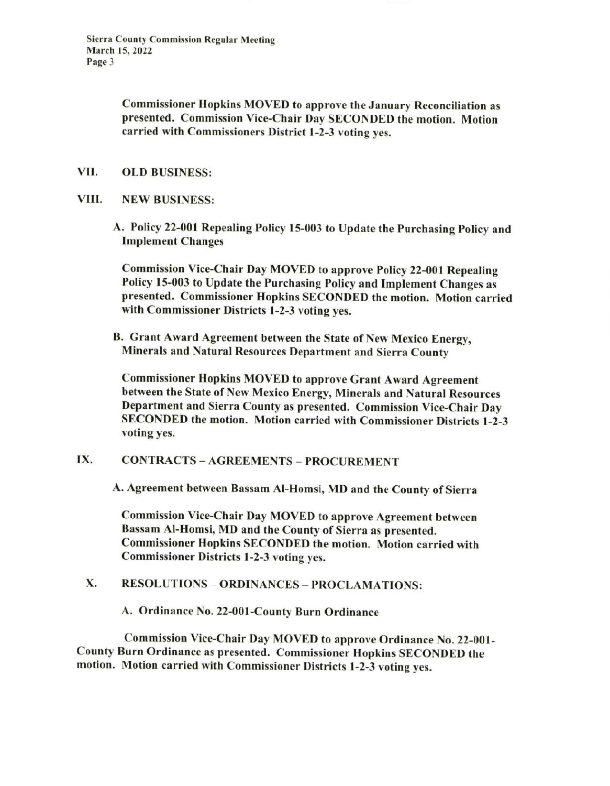Commissioner Hopkins MOVED to approve the January Reconciliation as presented. Commission Vice-Chair Day SECONDED the motion. Motion carried with Commissioners District l-2-3 voting yes.

- VII. OLD BUSINESS:
- VIII. NEW BUSINESS:
	- A. Policy 22-001 Repealing Policy l5-003 to Update the Purchasing policy and Implement Changes

Commission Vice-Chair Day MOVED to approve Policy 22-001 Repealing Policy l5-003 to Update the Purchasing Policy and Implement Changes as presented. Commissioner Hopkins SECONDED the motion. Motion carried with Commissioner Districts l-2-3 voting yes.

B, Grant Award Agreement between the State of New Mexico Energy, Minerals and Natural Resources Department and Sierra County

Commissioner Hopkins MOVED to approve Grant Award Agreement between the State of New Mexico Energy, Minerals and Natural Resources Department and Sierra County as presented. Commission Vice-Chair Day SECONDED the motion. Motion carried with Commissioner Districts l-2-3 voting yes.

IX. CONTRACTS - AGREEMENTS - PROCUREMENT

A. Agreement between Bassam Al-Homsi, MD and the County of Sierra

Commission Vice-Chair Day MOVED to approve Agreement between Bassam Al-Homsi, MD and the County of Sierra as presented. Commissioner Hopkins SECONDED the motion. Motion carried with Commissioner Districts 1-2-3 voting yes.

X. RESOLUTIONS - ORDINANCES - PROCLAMATIONS:

A. Ordinance No. 22-001-County Burn Ordinance

Commission Vice-Chair Day MOVED to approve Ordinance No. 22-001- County Burn Ordinance as presented. Commissioner Hopkins SECONDED the motion. Motion carried with Commissioner Districts l-2-3 voting yes.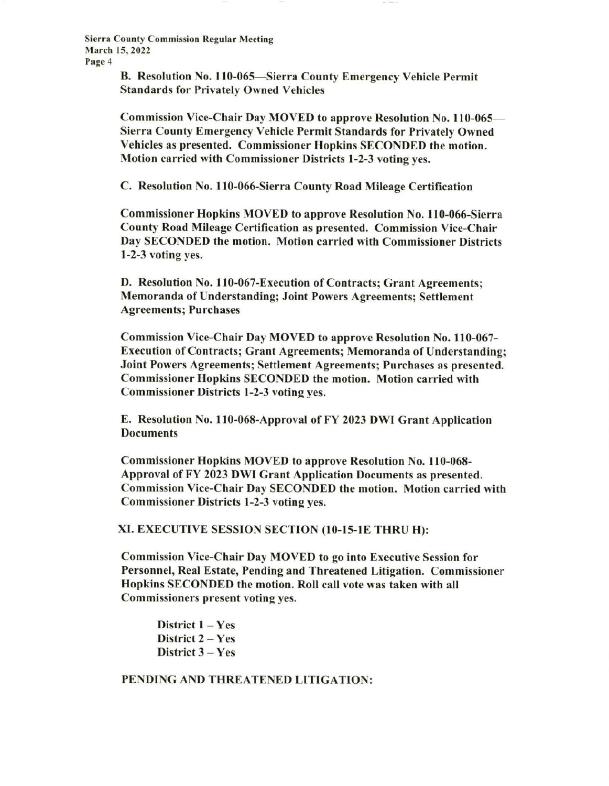Sierra County Commission Regular Meeting March 15,2022 Page 4

> B. Resolution No. 110-065-Sierra County Emergency Vehicle Permit Standards for Privatelv Owned Vehicles

Commission Vice-Chair Day MOVED to approve Resolution No. 110-065-Sierra County Emergency Vehicle Permit Standards for Privately Owned Vehicles as presented. Commissioner Hopkins SECONDED the motion. Motion carried with Commissioner Districts l-2-3 voting yes.

C. Resolution No. 110-066-Sierra County Road Mileage Certification

Commissioner Hopkins MOVED to approve Resolution No. I l0-066-5ierra County Road Mileage Certification as presented. Commission Vice-Chair Day SECONDED the motion. Motion carried with Commissioner Districts 1-2-3 voting yes.

D. Resolution No. 110-067-Execution of Contracts; Grant Agreements; Memoranda of Understanding; Joint Powers Agreements; Settlement Agreements; Purchases

Commission Vice-Chair Day MOVED to approve Resolution No. 110-067- Execution of Contracts; Grant Agreements; Memoranda of Understanding; Joint Powers Agreements; Settlement Agreements; Purchases as presented. Commissioner Hopkins SECONDED the motion. Motion carried with Commissioner Districts l-2-3 voting yes.

E. Resolution No. 110-068-Approval of FY 2023 DWI Grant Application **Documents** 

Commissioner Hopkins MOVED to approve Resolution No. 110-068- Approval of FY 2023 DWI Grant Application Documents as presented. Commission Vice-Chair Day SECONDED the motion. Motion carried with Commissioner Districts l-2-3 voting yes.

xl. EXECUTTVE SESSTON SECTTON (10-ls-lE THRU H):

Commission Vice-Chair Day MOVED to go into Executive Session for Personnel, Real Estate, Pending and Threatened Litigation. Commissioner Hopkins SECONDED the motion. Roll call vote was taken with all Commissioners present voting yes.

District  $1 - Yes$ District  $2 - Yes$ District 3 - Yes

PENDING AND THREATENED LITIGATION: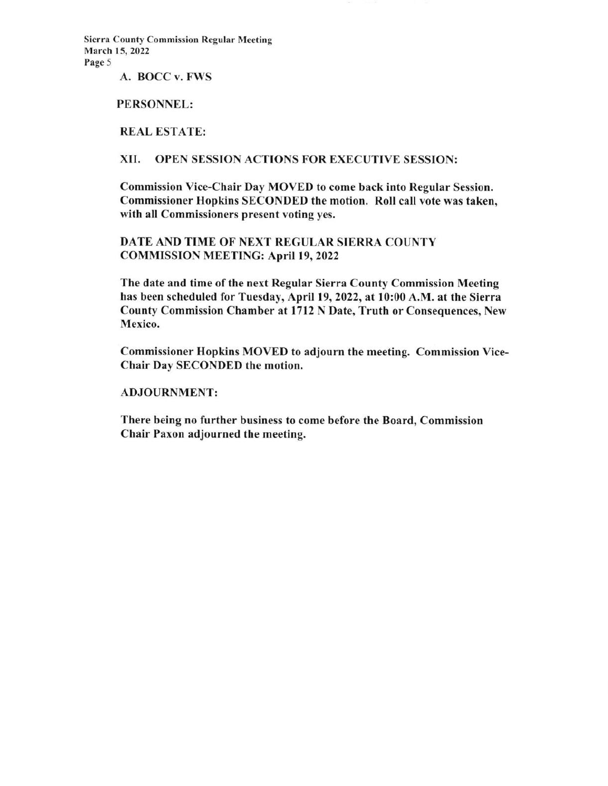Sierra County Commission Regular Meeting March 15, 2022 Page 5

A. BOCC v. FWS

PERSONNEL:

REAL ESTATE:

XII. OPEN SESSION ACTIONS FOR EXECUTIVE SESSION:

Commission Vice-Chair Day MOVED to come back into Regular Session. Commissioner Hopkins SECONDED the motion. Roll call vote was taken, with all Commissioners present voting yes.

DATE AND TIME OF NEXT REGULAR SIERRA COUNTY COMMISSION MEETING: April 19, 2022

The date and time of the next Regular Sierra County Commission Meeting has been scheduled for Tuesday, April 19, 2022, at 10:00 A.M. at the Sierra County Commission Chamber at l7l2 N Date, Truth or Consequences, New Mexico.

Commissioner Hopkins MOVED to adjourn the meeting. Commission Vice-Chair Day SECONDED the motion.

ADJOURNMENT:

There being no further business to come before the Board, Commission Chair Paxon adjourned the meeting.